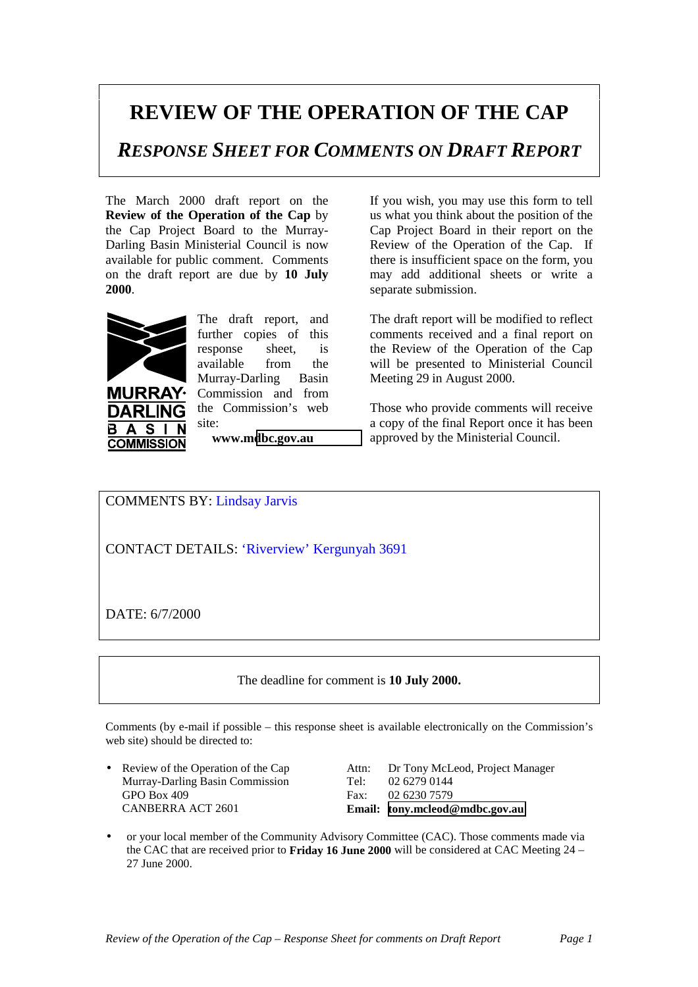## **REVIEW OF THE OPERATION OF THE CAP**

*RESPONSE SHEET FOR COMMENTS ON DRAFT REPORT*

The March 2000 draft report on the **Review of the Operation of the Cap** by the Cap Project Board to the Murray-Darling Basin Ministerial Council is now available for public comment. Comments on the draft report are due by **10 July 2000**.



 $\blacktriangle$ **S COMMISSION** 

**URRAY·** 

The draft report, and further copies of this response sheet, is available from the Murray-Darling Basin Commission and from the Commission's web site:

**www.m[dbc.gov.au](http://www.mdbc.gov.au/)**

If you wish, you may use this form to tell us what you think about the position of the Cap Project Board in their report on the Review of the Operation of the Cap. If there is insufficient space on the form, you may add additional sheets or write a separate submission.

The draft report will be modified to reflect comments received and a final report on the Review of the Operation of the Cap will be presented to Ministerial Council Meeting 29 in August 2000.

Those who provide comments will receive a copy of the final Report once it has been approved by the Ministerial Council.

COMMENTS BY: Lindsay Jarvis

CONTACT DETAILS: 'Riverview' Kergunyah 3691

DATE: 6/7/2000

The deadline for comment is **10 July 2000.**

Comments (by e-mail if possible – this response sheet is available electronically on the Commission's web site) should be directed to:

Murray-Darling Basin Commission Tel: 02 6279 0144 GPO Box 409 Fax: 02 6230 7579

• Review of the Operation of the Cap Attn: Dr Tony McLeod, Project Manager CANBERRA ACT 2601 **Email: [tony.mcleod@mdbc.gov.au](mailto:tony.mcleod@mdbc.gov.au)**

• or your local member of the Community Advisory Committee (CAC). Those comments made via the CAC that are received prior to **Friday 16 June 2000** will be considered at CAC Meeting 24 – 27 June 2000.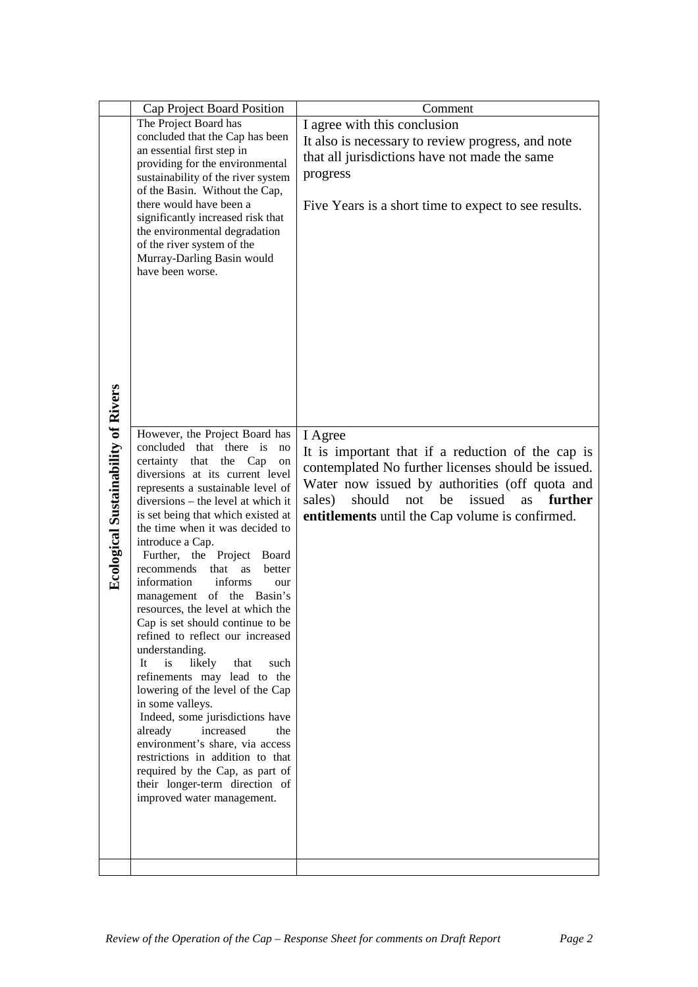|                                            |                                                                                                                                                                                                                                                                                                                                                                                                                                                                                                                                                                                                                                                                                                                                                                                                                                                                                                                                                      | Comment                                                                                                                                                                                                                                                                             |
|--------------------------------------------|------------------------------------------------------------------------------------------------------------------------------------------------------------------------------------------------------------------------------------------------------------------------------------------------------------------------------------------------------------------------------------------------------------------------------------------------------------------------------------------------------------------------------------------------------------------------------------------------------------------------------------------------------------------------------------------------------------------------------------------------------------------------------------------------------------------------------------------------------------------------------------------------------------------------------------------------------|-------------------------------------------------------------------------------------------------------------------------------------------------------------------------------------------------------------------------------------------------------------------------------------|
|                                            | Cap Project Board Position<br>The Project Board has<br>concluded that the Cap has been<br>an essential first step in<br>providing for the environmental<br>sustainability of the river system<br>of the Basin. Without the Cap,<br>there would have been a<br>significantly increased risk that<br>the environmental degradation<br>of the river system of the<br>Murray-Darling Basin would<br>have been worse.                                                                                                                                                                                                                                                                                                                                                                                                                                                                                                                                     | I agree with this conclusion<br>It also is necessary to review progress, and note<br>that all jurisdictions have not made the same<br>progress<br>Five Years is a short time to expect to see results.                                                                              |
| <b>Ecological Sustainability of Rivers</b> | However, the Project Board has<br>concluded that there is<br>no<br>certainty that<br>the Cap<br>on<br>diversions at its current level<br>represents a sustainable level of<br>diversions – the level at which it<br>is set being that which existed at<br>the time when it was decided to<br>introduce a Cap.<br>Further, the Project Board<br>that as<br>recommends<br>better<br>information<br>informs<br>our<br>management of the Basin's<br>resources, the level at which the<br>Cap is set should continue to be<br>refined to reflect our increased<br>understanding.<br>is<br>likely<br>that<br>It<br>such<br>refinements may lead to the<br>lowering of the level of the Cap<br>in some valleys.<br>Indeed, some jurisdictions have<br>increased<br>already<br>the<br>environment's share, via access<br>restrictions in addition to that<br>required by the Cap, as part of<br>their longer-term direction of<br>improved water management. | I Agree<br>It is important that if a reduction of the cap is<br>contemplated No further licenses should be issued.<br>Water now issued by authorities (off quota and<br>should<br>not<br>be<br>issued<br>as<br>further<br>sales)<br>entitlements until the Cap volume is confirmed. |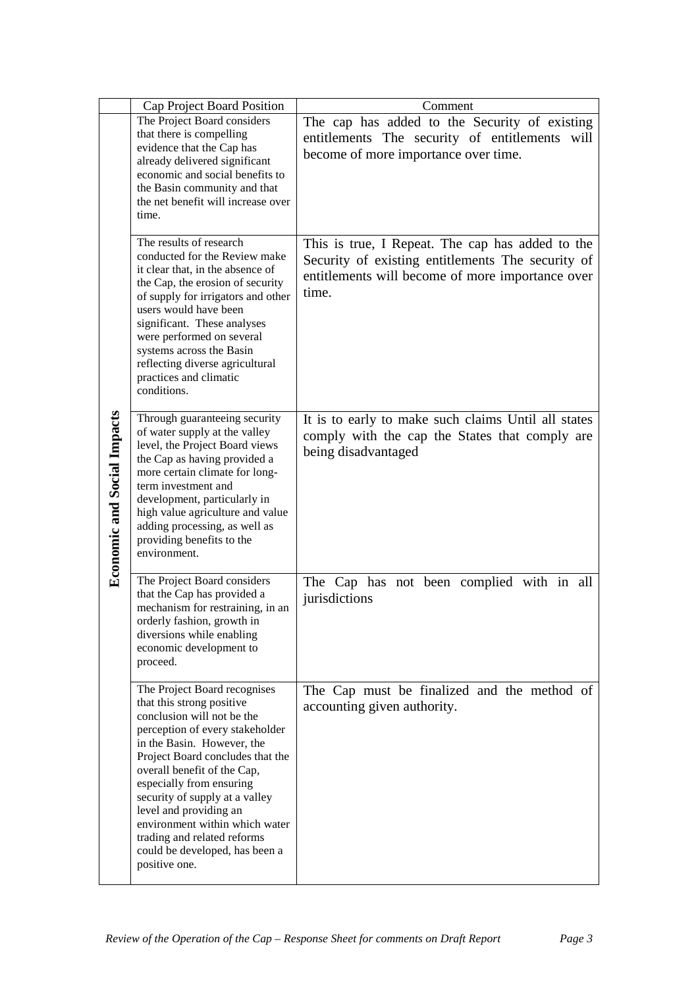|                                    | Cap Project Board Position                                                                                                                                                                                                                                                                                                                                                                                                              | Comment                                                                                                                                                            |
|------------------------------------|-----------------------------------------------------------------------------------------------------------------------------------------------------------------------------------------------------------------------------------------------------------------------------------------------------------------------------------------------------------------------------------------------------------------------------------------|--------------------------------------------------------------------------------------------------------------------------------------------------------------------|
| <b>Economic and Social Impacts</b> | The Project Board considers<br>that there is compelling<br>evidence that the Cap has<br>already delivered significant<br>economic and social benefits to<br>the Basin community and that<br>the net benefit will increase over<br>time.                                                                                                                                                                                                 | The cap has added to the Security of existing<br>entitlements The security of entitlements will<br>become of more importance over time.                            |
|                                    | The results of research<br>conducted for the Review make<br>it clear that, in the absence of<br>the Cap, the erosion of security<br>of supply for irrigators and other<br>users would have been<br>significant. These analyses<br>were performed on several<br>systems across the Basin<br>reflecting diverse agricultural<br>practices and climatic<br>conditions.                                                                     | This is true, I Repeat. The cap has added to the<br>Security of existing entitlements The security of<br>entitlements will become of more importance over<br>time. |
|                                    | Through guaranteeing security<br>of water supply at the valley<br>level, the Project Board views<br>the Cap as having provided a<br>more certain climate for long-<br>term investment and<br>development, particularly in<br>high value agriculture and value<br>adding processing, as well as<br>providing benefits to the<br>environment.                                                                                             | It is to early to make such claims Until all states<br>comply with the cap the States that comply are<br>being disadvantaged                                       |
|                                    | The Project Board considers<br>that the Cap has provided a<br>mechanism for restraining, in an<br>orderly fashion, growth in<br>diversions while enabling<br>economic development to<br>proceed.                                                                                                                                                                                                                                        | The Cap has not been complied with in all<br>jurisdictions                                                                                                         |
|                                    | The Project Board recognises<br>that this strong positive<br>conclusion will not be the<br>perception of every stakeholder<br>in the Basin. However, the<br>Project Board concludes that the<br>overall benefit of the Cap,<br>especially from ensuring<br>security of supply at a valley<br>level and providing an<br>environment within which water<br>trading and related reforms<br>could be developed, has been a<br>positive one. | The Cap must be finalized and the method of<br>accounting given authority.                                                                                         |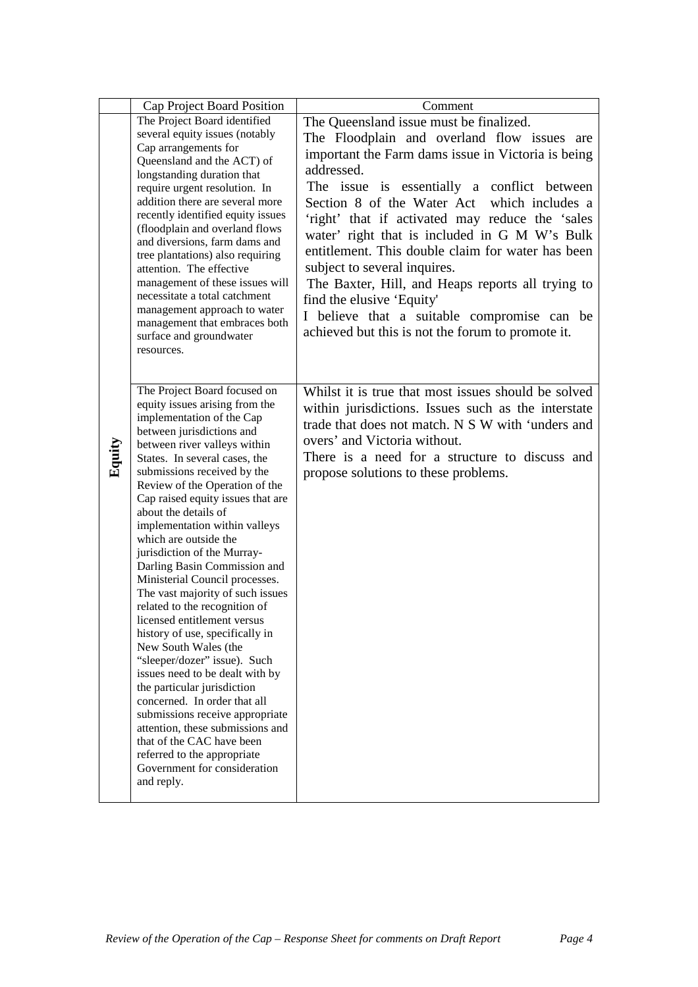|        | Cap Project Board Position                                                                                                                                                                                                                                                                                                                                                 | Comment                                                                                                                                                                                                                                                                                                                                                                              |
|--------|----------------------------------------------------------------------------------------------------------------------------------------------------------------------------------------------------------------------------------------------------------------------------------------------------------------------------------------------------------------------------|--------------------------------------------------------------------------------------------------------------------------------------------------------------------------------------------------------------------------------------------------------------------------------------------------------------------------------------------------------------------------------------|
|        | The Project Board identified                                                                                                                                                                                                                                                                                                                                               | The Queensland issue must be finalized.                                                                                                                                                                                                                                                                                                                                              |
|        | several equity issues (notably<br>Cap arrangements for                                                                                                                                                                                                                                                                                                                     | The Floodplain and overland flow issues are                                                                                                                                                                                                                                                                                                                                          |
|        | Queensland and the ACT) of                                                                                                                                                                                                                                                                                                                                                 | important the Farm dams issue in Victoria is being                                                                                                                                                                                                                                                                                                                                   |
|        | longstanding duration that<br>require urgent resolution. In<br>addition there are several more<br>recently identified equity issues<br>(floodplain and overland flows<br>and diversions, farm dams and<br>tree plantations) also requiring<br>attention. The effective<br>management of these issues will<br>necessitate a total catchment<br>management approach to water | addressed.<br>The issue is essentially a conflict between<br>Section 8 of the Water Act which includes a<br>'right' that if activated may reduce the 'sales'<br>water' right that is included in G M W's Bulk<br>entitlement. This double claim for water has been<br>subject to several inquires.<br>The Baxter, Hill, and Heaps reports all trying to<br>find the elusive 'Equity' |
|        | management that embraces both<br>surface and groundwater<br>resources.                                                                                                                                                                                                                                                                                                     | I believe that a suitable compromise can be<br>achieved but this is not the forum to promote it.                                                                                                                                                                                                                                                                                     |
|        | The Project Board focused on                                                                                                                                                                                                                                                                                                                                               | Whilst it is true that most issues should be solved                                                                                                                                                                                                                                                                                                                                  |
|        | equity issues arising from the<br>implementation of the Cap<br>between jurisdictions and<br>between river valleys within                                                                                                                                                                                                                                                   | within jurisdictions. Issues such as the interstate<br>trade that does not match. N S W with 'unders and<br>overs' and Victoria without.                                                                                                                                                                                                                                             |
| Equity | States. In several cases, the<br>submissions received by the                                                                                                                                                                                                                                                                                                               | There is a need for a structure to discuss and<br>propose solutions to these problems.                                                                                                                                                                                                                                                                                               |
|        | Review of the Operation of the<br>Cap raised equity issues that are<br>about the details of                                                                                                                                                                                                                                                                                |                                                                                                                                                                                                                                                                                                                                                                                      |
|        | implementation within valleys<br>which are outside the                                                                                                                                                                                                                                                                                                                     |                                                                                                                                                                                                                                                                                                                                                                                      |
|        | jurisdiction of the Murray-<br>Darling Basin Commission and<br>Ministerial Council processes.                                                                                                                                                                                                                                                                              |                                                                                                                                                                                                                                                                                                                                                                                      |
|        | The vast majority of such issues<br>related to the recognition of                                                                                                                                                                                                                                                                                                          |                                                                                                                                                                                                                                                                                                                                                                                      |
|        | licensed entitlement versus<br>history of use, specifically in                                                                                                                                                                                                                                                                                                             |                                                                                                                                                                                                                                                                                                                                                                                      |
|        | New South Wales (the<br>"sleeper/dozer" issue). Such                                                                                                                                                                                                                                                                                                                       |                                                                                                                                                                                                                                                                                                                                                                                      |
|        | issues need to be dealt with by<br>the particular jurisdiction                                                                                                                                                                                                                                                                                                             |                                                                                                                                                                                                                                                                                                                                                                                      |
|        | concerned. In order that all<br>submissions receive appropriate                                                                                                                                                                                                                                                                                                            |                                                                                                                                                                                                                                                                                                                                                                                      |
|        | attention, these submissions and<br>that of the CAC have been                                                                                                                                                                                                                                                                                                              |                                                                                                                                                                                                                                                                                                                                                                                      |
|        | referred to the appropriate<br>Government for consideration                                                                                                                                                                                                                                                                                                                |                                                                                                                                                                                                                                                                                                                                                                                      |
|        | and reply.                                                                                                                                                                                                                                                                                                                                                                 |                                                                                                                                                                                                                                                                                                                                                                                      |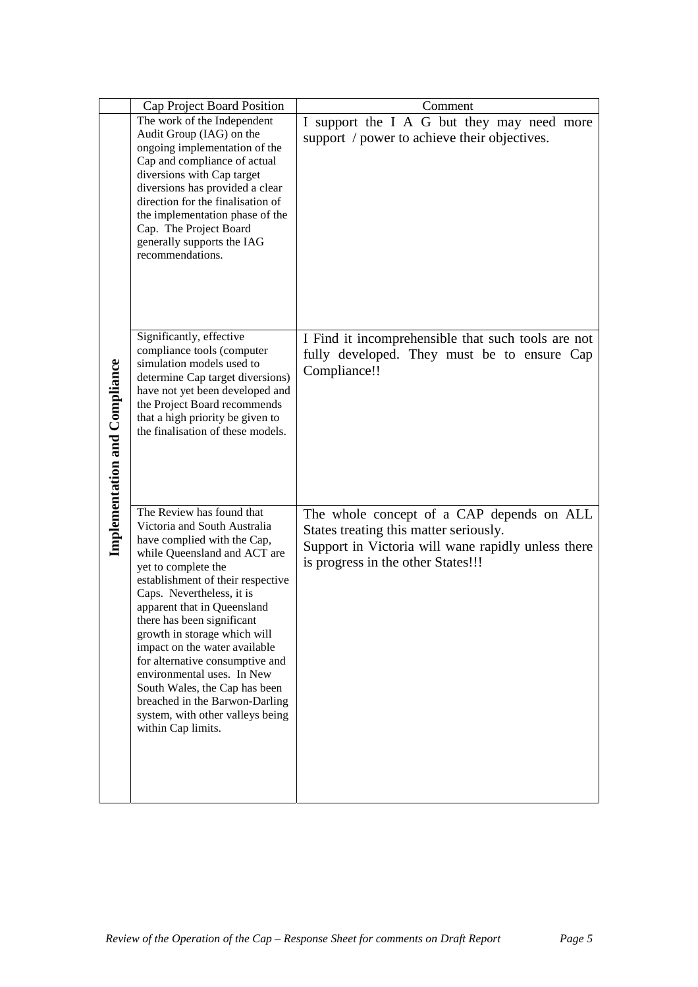|                                      | Cap Project Board Position                                    | Comment                                            |
|--------------------------------------|---------------------------------------------------------------|----------------------------------------------------|
|                                      | The work of the Independent                                   | I support the I A G but they may need more         |
|                                      | Audit Group (IAG) on the                                      | support / power to achieve their objectives.       |
|                                      | ongoing implementation of the                                 |                                                    |
|                                      | Cap and compliance of actual                                  |                                                    |
|                                      | diversions with Cap target<br>diversions has provided a clear |                                                    |
|                                      | direction for the finalisation of                             |                                                    |
|                                      | the implementation phase of the                               |                                                    |
|                                      | Cap. The Project Board                                        |                                                    |
|                                      | generally supports the IAG<br>recommendations.                |                                                    |
|                                      |                                                               |                                                    |
|                                      |                                                               |                                                    |
|                                      |                                                               |                                                    |
|                                      |                                                               |                                                    |
|                                      |                                                               |                                                    |
|                                      | Significantly, effective                                      | I Find it incomprehensible that such tools are not |
|                                      | compliance tools (computer                                    | fully developed. They must be to ensure Cap        |
|                                      | simulation models used to<br>determine Cap target diversions) | Compliance!!                                       |
|                                      | have not yet been developed and                               |                                                    |
|                                      | the Project Board recommends                                  |                                                    |
|                                      | that a high priority be given to                              |                                                    |
|                                      | the finalisation of these models.                             |                                                    |
|                                      |                                                               |                                                    |
|                                      |                                                               |                                                    |
| <b>Implementation and Compliance</b> |                                                               |                                                    |
|                                      |                                                               |                                                    |
|                                      | The Review has found that<br>Victoria and South Australia     | The whole concept of a CAP depends on ALL          |
|                                      | have complied with the Cap,                                   | States treating this matter seriously.             |
|                                      | while Queensland and ACT are                                  | Support in Victoria will wane rapidly unless there |
|                                      | yet to complete the                                           | is progress in the other States!!!                 |
|                                      | establishment of their respective                             |                                                    |
|                                      | Caps. Nevertheless, it is                                     |                                                    |
|                                      | apparent that in Queensland                                   |                                                    |
|                                      | there has been significant<br>growth in storage which will    |                                                    |
|                                      | impact on the water available                                 |                                                    |
|                                      | for alternative consumptive and                               |                                                    |
|                                      | environmental uses. In New                                    |                                                    |
|                                      | South Wales, the Cap has been                                 |                                                    |
|                                      | breached in the Barwon-Darling                                |                                                    |
|                                      | system, with other valleys being<br>within Cap limits.        |                                                    |
|                                      |                                                               |                                                    |
|                                      |                                                               |                                                    |
|                                      |                                                               |                                                    |
|                                      |                                                               |                                                    |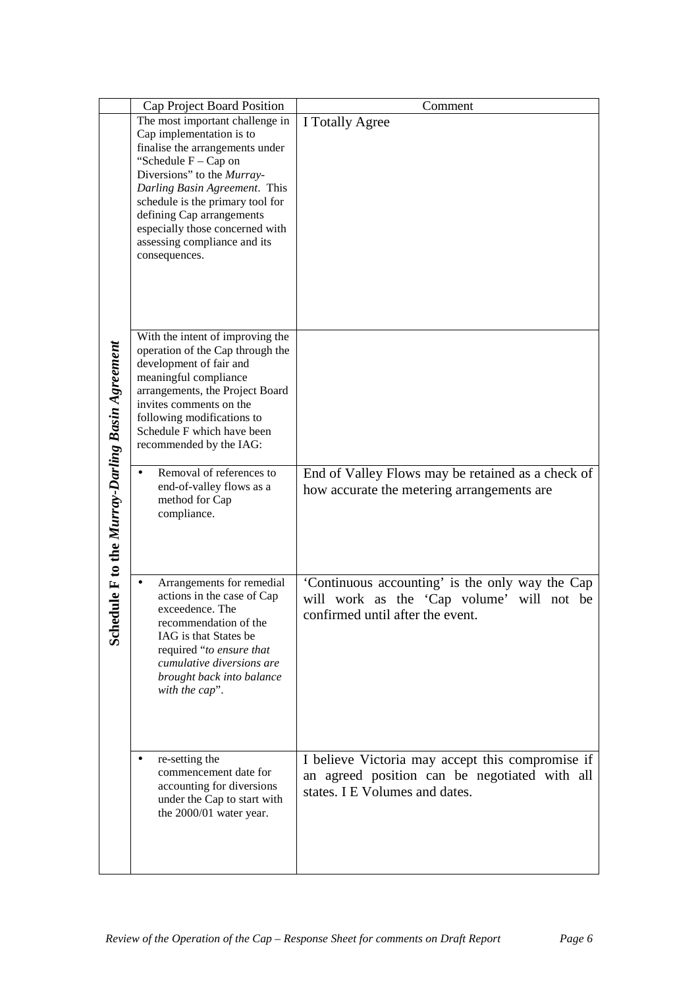|                                                     | Cap Project Board Position                                                                                                                                                                                                                                                                                                                   | Comment                                                                                                                             |
|-----------------------------------------------------|----------------------------------------------------------------------------------------------------------------------------------------------------------------------------------------------------------------------------------------------------------------------------------------------------------------------------------------------|-------------------------------------------------------------------------------------------------------------------------------------|
| dule F to the Murray-Darling Basin Agreement<br>Sch | The most important challenge in<br>Cap implementation is to<br>finalise the arrangements under<br>"Schedule $F - Cap$ on<br>Diversions" to the Murray-<br>Darling Basin Agreement. This<br>schedule is the primary tool for<br>defining Cap arrangements<br>especially those concerned with<br>assessing compliance and its<br>consequences. | I Totally Agree                                                                                                                     |
|                                                     | With the intent of improving the<br>operation of the Cap through the<br>development of fair and<br>meaningful compliance<br>arrangements, the Project Board<br>invites comments on the<br>following modifications to<br>Schedule F which have been<br>recommended by the IAG:                                                                |                                                                                                                                     |
|                                                     | Removal of references to<br>end-of-valley flows as a<br>method for Cap<br>compliance.                                                                                                                                                                                                                                                        | End of Valley Flows may be retained as a check of<br>how accurate the metering arrangements are                                     |
|                                                     | Arrangements for remedial<br>actions in the case of Cap<br>exceedence. The<br>recommendation of the<br>IAG is that States be<br>required "to ensure that<br>cumulative diversions are<br>brought back into balance<br>with the cap".                                                                                                         | 'Continuous accounting' is the only way the Cap<br>work as the 'Cap volume' will not be<br>will<br>confirmed until after the event. |
|                                                     | re-setting the<br>commencement date for<br>accounting for diversions<br>under the Cap to start with<br>the 2000/01 water year.                                                                                                                                                                                                               | I believe Victoria may accept this compromise if<br>an agreed position can be negotiated with all<br>states. I E Volumes and dates. |